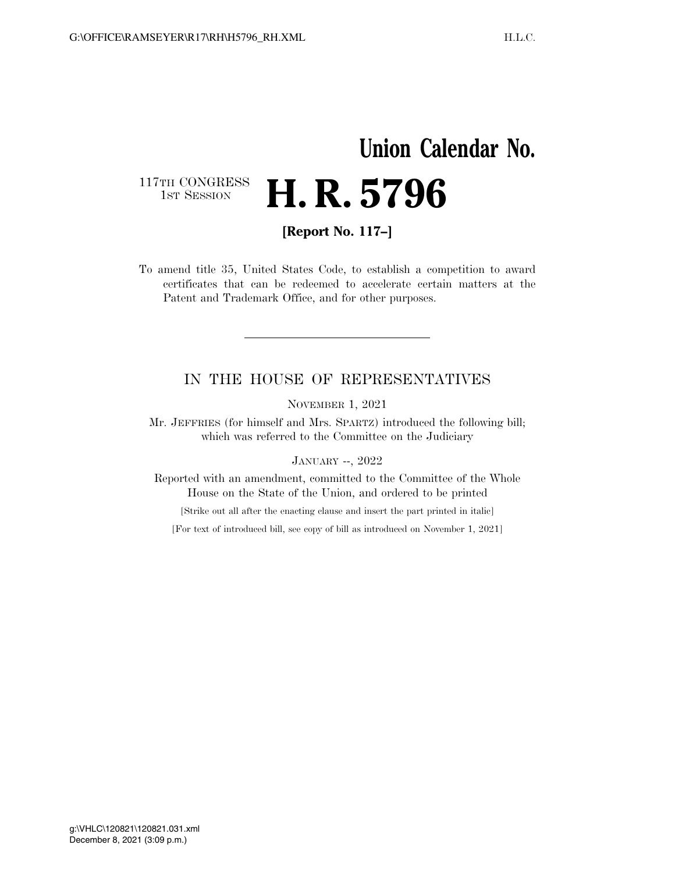## **Union Calendar No.**  117TH CONGRESS<br>1st Session 1ST SESSION **H. R. 5796**

**[Report No. 117–]** 

To amend title 35, United States Code, to establish a competition to award certificates that can be redeemed to accelerate certain matters at the Patent and Trademark Office, and for other purposes.

## IN THE HOUSE OF REPRESENTATIVES

NOVEMBER 1, 2021

Mr. JEFFRIES (for himself and Mrs. SPARTZ) introduced the following bill; which was referred to the Committee on the Judiciary

## JANUARY --, 2022

Reported with an amendment, committed to the Committee of the Whole House on the State of the Union, and ordered to be printed

[Strike out all after the enacting clause and insert the part printed in italic]

[For text of introduced bill, see copy of bill as introduced on November 1, 2021]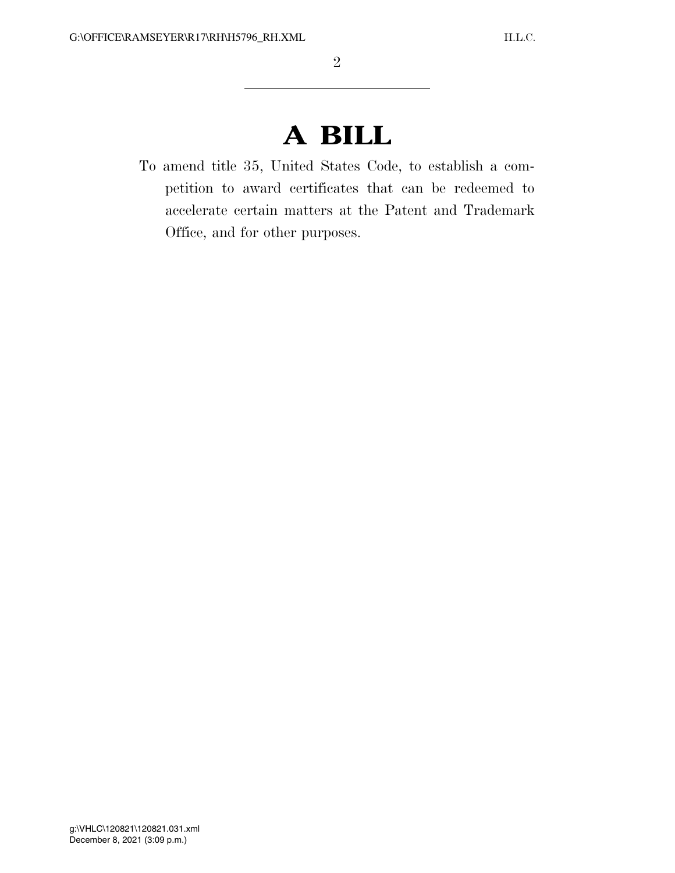## **A BILL**

To amend title 35, United States Code, to establish a competition to award certificates that can be redeemed to accelerate certain matters at the Patent and Trademark Office, and for other purposes.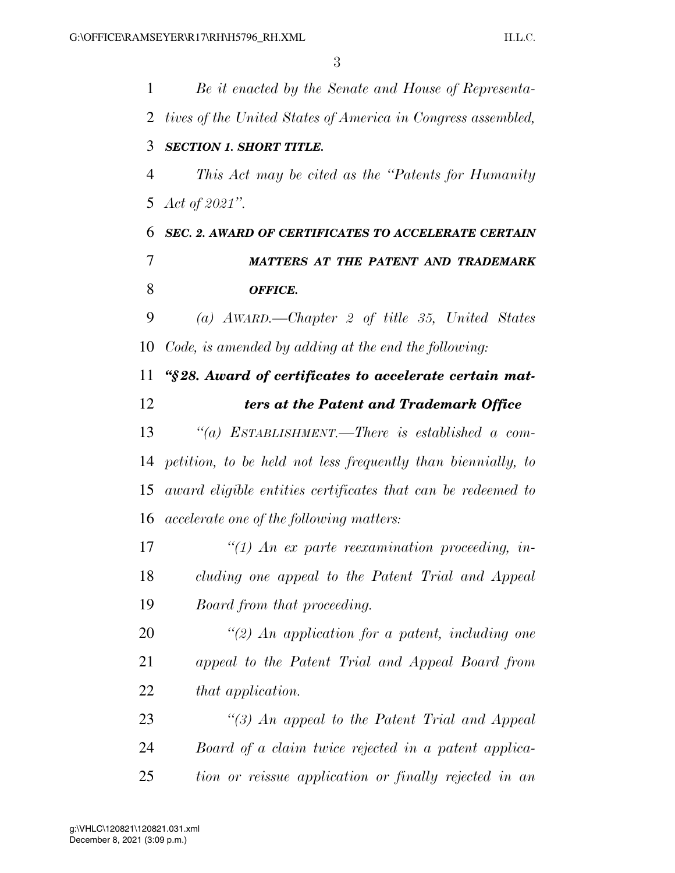| 1              | Be it enacted by the Senate and House of Representa-         |
|----------------|--------------------------------------------------------------|
| 2              | tives of the United States of America in Congress assembled, |
| 3              | <b>SECTION 1. SHORT TITLE.</b>                               |
| $\overline{4}$ | This Act may be cited as the "Patents for Humanity"          |
| 5              | Act of $2021$ ".                                             |
| 6              | <b>SEC. 2. AWARD OF CERTIFICATES TO ACCELERATE CERTAIN</b>   |
| 7              | MATTERS AT THE PATENT AND TRADEMARK                          |
| 8              | OFFICE.                                                      |
| 9              | (a) $A$ WARD.—Chapter 2 of title 35, United States           |
| 10             | Code, is amended by adding at the end the following:         |
| 11             | "§28. Award of certificates to accelerate certain mat-       |
| 12             | ters at the Patent and Trademark Office                      |
| 13             | "(a) ESTABLISHMENT.—There is established a com-              |
| 14             | petition, to be held not less frequently than biennially, to |
| 15             | award eligible entities certificates that can be redeemed to |
| 16             | <i>accelerate one of the following matters:</i>              |
| 17             | $\lq(1)$ An ex parte reexamination proceeding, in-           |
| 18             | cluding one appeal to the Patent Trial and Appeal            |
| 19             | Board from that proceeding.                                  |
| 20             | $\lq(2)$ An application for a patent, including one          |
| 21             | appeal to the Patent Trial and Appeal Board from             |
| 22             | that application.                                            |
| 23             | "(3) An appeal to the Patent Trial and Appeal                |
| 24             | Board of a claim twice rejected in a patent applica-         |
| 25             | tion or reissue application or finally rejected in an        |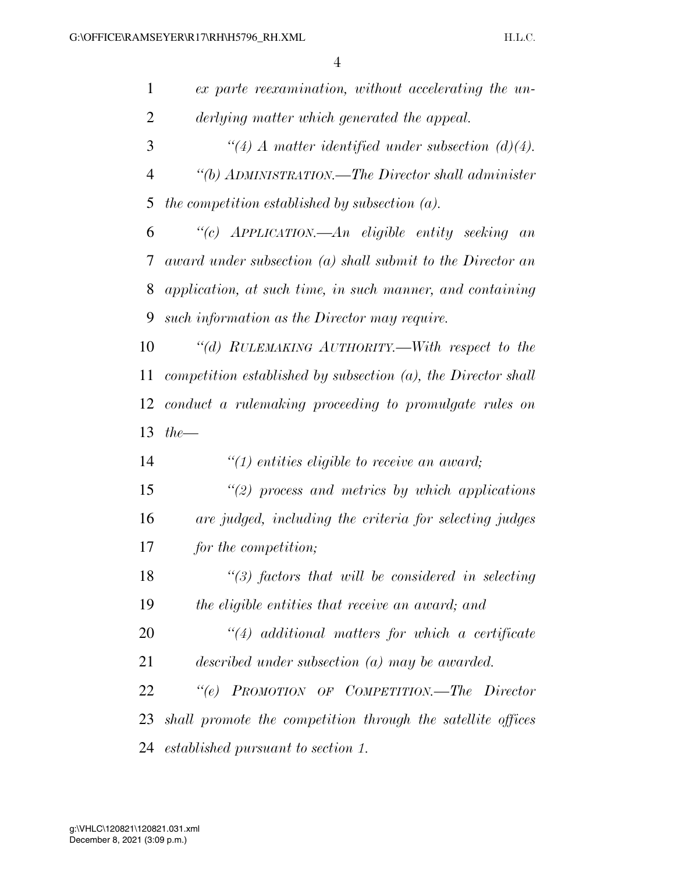| 1              | ex parte reexamination, without accelerating the un-             |
|----------------|------------------------------------------------------------------|
| $\overline{2}$ | derlying matter which generated the appeal.                      |
| 3              | "(4) A matter identified under subsection (d)(4).                |
| $\overline{4}$ | "(b) ADMINISTRATION.—The Director shall administer               |
| 5              | the competition established by subsection $(a)$ .                |
| 6              | "(c) APPLICATION.—An eligible entity seeking an                  |
| 7              | award under subsection $(a)$ shall submit to the Director an     |
| 8              | application, at such time, in such manner, and containing        |
| 9              | such information as the Director may require.                    |
| 10             | "(d) RULEMAKING AUTHORITY.—With respect to the                   |
| 11             | competition established by subsection $(a)$ , the Director shall |
| 12             | conduct a rulemaking proceeding to promulgate rules on           |
| 13             | $the-$                                                           |
| 14             | $\lq(1)$ entities eligible to receive an award;                  |
| 15             | $\lq(2)$ process and metrics by which applications               |
| 16             | are judged, including the criteria for selecting judges          |
| 17             | for the competition;                                             |
| 18             | $\lq(3)$ factors that will be considered in selecting            |
| 19             | the eligible entities that receive an award; and                 |
| 20             | $"(4)$ additional matters for which a certificate                |
| 21             | described under subsection (a) may be awarded.                   |
| 22             | "(e) PROMOTION OF COMPETITION.—The Director                      |
| 23             | shall promote the competition through the satellite offices      |
| 24             | established pursuant to section 1.                               |